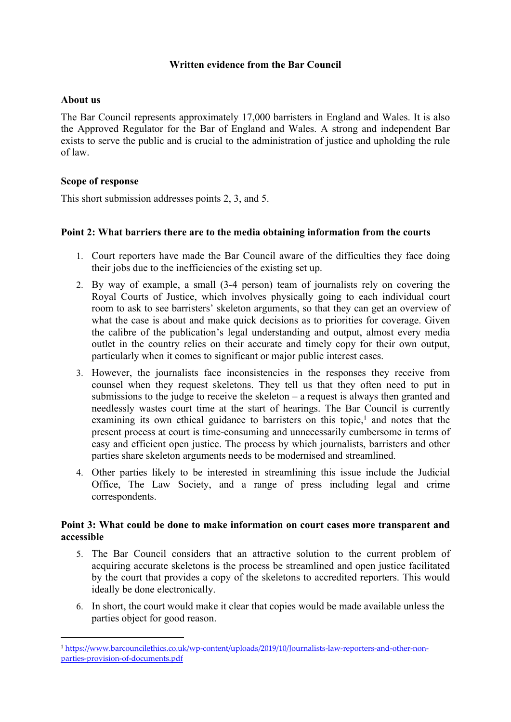## **Written evidence from the Bar Council**

### **About us**

The Bar Council represents approximately 17,000 barristers in England and Wales. It is also the Approved Regulator for the Bar of England and Wales. A strong and independent Bar exists to serve the public and is crucial to the administration of justice and upholding the rule of law.

### **Scope of response**

This short submission addresses points 2, 3, and 5.

### **Point 2: What barriers there are to the media obtaining information from the courts**

- 1. Court reporters have made the Bar Council aware of the difficulties they face doing their jobs due to the inefficiencies of the existing set up.
- 2. By way of example, a small (3-4 person) team of journalists rely on covering the Royal Courts of Justice, which involves physically going to each individual court room to ask to see barristers' skeleton arguments, so that they can get an overview of what the case is about and make quick decisions as to priorities for coverage. Given the calibre of the publication's legal understanding and output, almost every media outlet in the country relies on their accurate and timely copy for their own output, particularly when it comes to significant or major public interest cases.
- 3. However, the journalists face inconsistencies in the responses they receive from counsel when they request skeletons. They tell us that they often need to put in submissions to the judge to receive the skeleton – a request is always then granted and needlessly wastes court time at the start of hearings. The Bar Council is currently examining its own ethical guidance to barristers on this topic, $<sup>1</sup>$  and notes that the</sup> present process at court is time-consuming and unnecessarily cumbersome in terms of easy and efficient open justice. The process by which journalists, barristers and other parties share skeleton arguments needs to be modernised and streamlined.
- 4. Other parties likely to be interested in streamlining this issue include the Judicial Office, The Law Society, and a range of press including legal and crime correspondents.

#### **Point 3: What could be done to make information on court cases more transparent and accessible**

- 5. The Bar Council considers that an attractive solution to the current problem of acquiring accurate skeletons is the process be streamlined and open justice facilitated by the court that provides a copy of the skeletons to accredited reporters. This would ideally be done electronically.
- 6. In short, the court would make it clear that copies would be made available unless the parties object for good reason.

<sup>1</sup> [https://www.barcouncilethics.co.uk/wp-content/uploads/2019/10/Journalists-law-reporters-and-other-non](https://www.barcouncilethics.co.uk/wp-content/uploads/2019/10/Journalists-law-reporters-and-other-non-parties-provision-of-documents.pdf)[parties-provision-of-documents.pdf](https://www.barcouncilethics.co.uk/wp-content/uploads/2019/10/Journalists-law-reporters-and-other-non-parties-provision-of-documents.pdf)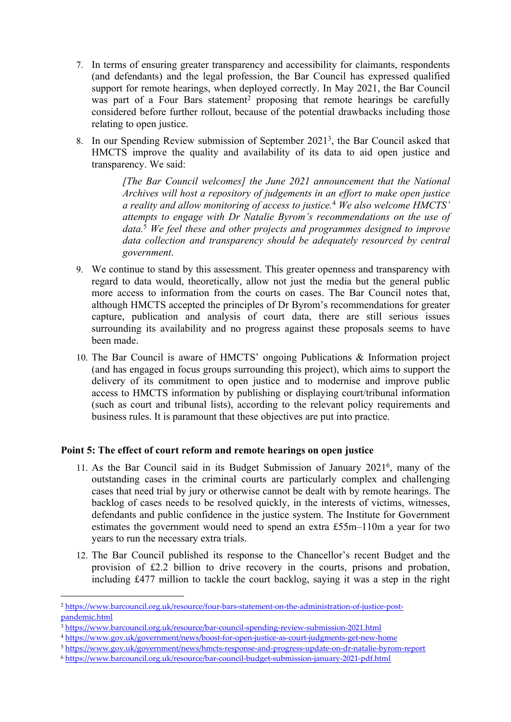- 7. In terms of ensuring greater transparency and accessibility for claimants, respondents (and defendants) and the legal profession, the Bar Council has expressed qualified support for remote hearings, when deployed correctly. In May 2021, the Bar Council was part of a Four Bars statement<sup>2</sup> proposing that remote hearings be carefully considered before further rollout, because of the potential drawbacks including those relating to open justice.
- 8. In our Spending Review submission of September 2021<sup>3</sup> , the Bar Council asked that HMCTS improve the quality and availability of its data to aid open justice and transparency. We said:

*[The Bar Council welcomes] the June 2021 announcement that the National Archives will host a repository of judgements in an effort to make open justice a reality and allow monitoring of access to justice.*<sup>4</sup> *We also welcome HMCTS' attempts to engage with Dr Natalie Byrom's recommendations on the use of data.*<sup>5</sup> *We feel these and other projects and programmes designed to improve data collection and transparency should be adequately resourced by central government*.

- 9. We continue to stand by this assessment. This greater openness and transparency with regard to data would, theoretically, allow not just the media but the general public more access to information from the courts on cases. The Bar Council notes that, although HMCTS accepted the principles of Dr Byrom's recommendations for greater capture, publication and analysis of court data, there are still serious issues surrounding its availability and no progress against these proposals seems to have been made.
- 10. The Bar Council is aware of HMCTS' ongoing Publications & Information project (and has engaged in focus groups surrounding this project), which aims to support the delivery of its commitment to open justice and to modernise and improve public access to HMCTS information by publishing or displaying court/tribunal information (such as court and tribunal lists), according to the relevant policy requirements and business rules. It is paramount that these objectives are put into practice.

# **Point 5: The effect of court reform and remote hearings on open justice**

- 11. As the Bar Council said in its Budget Submission of January 2021<sup>6</sup> , many of the outstanding cases in the criminal courts are particularly complex and challenging cases that need trial by jury or otherwise cannot be dealt with by remote hearings. The backlog of cases needs to be resolved quickly, in the interests of victims, witnesses, defendants and public confidence in the justice system. The Institute for Government estimates the government would need to spend an extra £55m–110m a year for two years to run the necessary extra trials.
- 12. The Bar Council published its response to the Chancellor's recent Budget and the provision of £2.2 billion to drive recovery in the courts, prisons and probation, including £477 million to tackle the court backlog, saying it was a step in the right

<sup>4</sup> <https://www.gov.uk/government/news/boost-for-open-justice-as-court-judgments-get-new-home>

<sup>2</sup> [https://www.barcouncil.org.uk/resource/four-bars-statement-on-the-administration-of-justice-post](https://www.barcouncil.org.uk/resource/four-bars-statement-on-the-administration-of-justice-post-pandemic.html)[pandemic.html](https://www.barcouncil.org.uk/resource/four-bars-statement-on-the-administration-of-justice-post-pandemic.html)

<sup>3</sup> <https://www.barcouncil.org.uk/resource/bar-council-spending-review-submission-2021.html>

<sup>5</sup> <https://www.gov.uk/government/news/hmcts-response-and-progress-update-on-dr-natalie-byrom-report>

<sup>6</sup> <https://www.barcouncil.org.uk/resource/bar-council-budget-submission-january-2021-pdf.html>